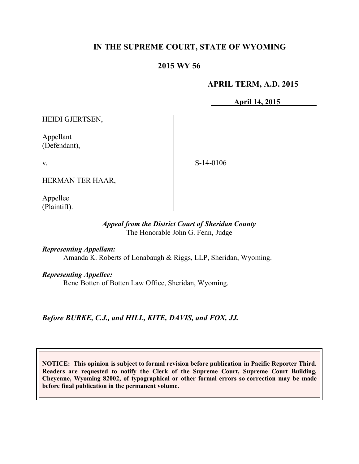# **IN THE SUPREME COURT, STATE OF WYOMING**

# **2015 WY 56**

### **APRIL TERM, A.D. 2015**

**April 14, 2015** 

HEIDI GJERTSEN,

Appellant (Defendant),

v.

S-14-0106

HERMAN TER HAAR,

Appellee (Plaintiff).

#### *Appeal from the District Court of Sheridan County* The Honorable John G. Fenn, Judge

*Representing Appellant:*

Amanda K. Roberts of Lonabaugh & Riggs, LLP, Sheridan, Wyoming.

*Representing Appellee:*

Rene Botten of Botten Law Office, Sheridan, Wyoming.

*Before BURKE, C.J., and HILL, KITE, DAVIS, and FOX, JJ.*

**NOTICE: This opinion is subject to formal revision before publication in Pacific Reporter Third. Readers are requested to notify the Clerk of the Supreme Court, Supreme Court Building, Cheyenne, Wyoming 82002, of typographical or other formal errors so correction may be made before final publication in the permanent volume.**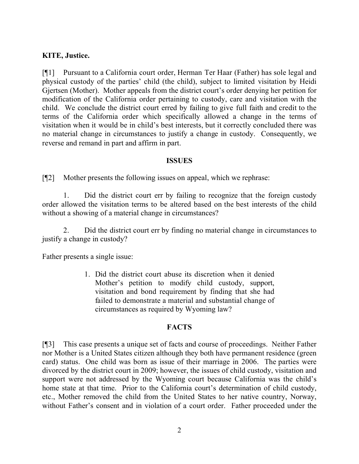### **KITE, Justice.**

[¶1] Pursuant to a California court order, Herman Ter Haar (Father) has sole legal and physical custody of the parties' child (the child), subject to limited visitation by Heidi Gjertsen (Mother). Mother appeals from the district court's order denying her petition for modification of the California order pertaining to custody, care and visitation with the child. We conclude the district court erred by failing to give full faith and credit to the terms of the California order which specifically allowed a change in the terms of visitation when it would be in child's best interests, but it correctly concluded there was no material change in circumstances to justify a change in custody. Consequently, we reverse and remand in part and affirm in part.

### **ISSUES**

[¶2] Mother presents the following issues on appeal, which we rephrase:

1. Did the district court err by failing to recognize that the foreign custody order allowed the visitation terms to be altered based on the best interests of the child without a showing of a material change in circumstances?

2. Did the district court err by finding no material change in circumstances to justify a change in custody?

Father presents a single issue:

1. Did the district court abuse its discretion when it denied Mother's petition to modify child custody, support, visitation and bond requirement by finding that she had failed to demonstrate a material and substantial change of circumstances as required by Wyoming law?

#### **FACTS**

[¶3] This case presents a unique set of facts and course of proceedings. Neither Father nor Mother is a United States citizen although they both have permanent residence (green card) status. One child was born as issue of their marriage in 2006. The parties were divorced by the district court in 2009; however, the issues of child custody, visitation and support were not addressed by the Wyoming court because California was the child's home state at that time. Prior to the California court's determination of child custody, etc., Mother removed the child from the United States to her native country, Norway, without Father's consent and in violation of a court order. Father proceeded under the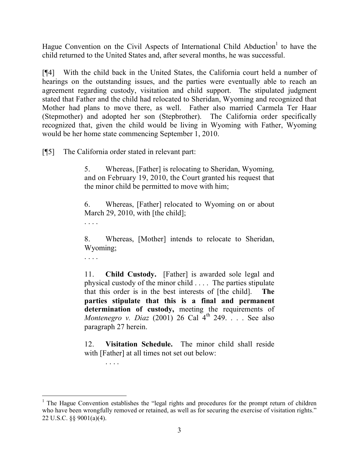Hague Convention on the Civil Aspects of International Child Abduction<sup>1</sup> to have the child returned to the United States and, after several months, he was successful.

[¶4] With the child back in the United States, the California court held a number of hearings on the outstanding issues, and the parties were eventually able to reach an agreement regarding custody, visitation and child support. The stipulated judgment stated that Father and the child had relocated to Sheridan, Wyoming and recognized that Mother had plans to move there, as well. Father also married Carmela Ter Haar (Stepmother) and adopted her son (Stepbrother). The California order specifically recognized that, given the child would be living in Wyoming with Father, Wyoming would be her home state commencing September 1, 2010.

[¶5] The California order stated in relevant part:

5. Whereas, [Father] is relocating to Sheridan, Wyoming, and on February 19, 2010, the Court granted his request that the minor child be permitted to move with him;

6. Whereas, [Father] relocated to Wyoming on or about March 29, 2010, with [the child];

. . . .

8. Whereas, [Mother] intends to relocate to Sheridan, Wyoming;

. . . .

. . . .

11. **Child Custody.** [Father] is awarded sole legal and physical custody of the minor child . . . . The parties stipulate that this order is in the best interests of [the child]. **The parties stipulate that this is a final and permanent determination of custody,** meeting the requirements of *Montenegro v. Diaz* (2001) 26 Cal 4<sup>th</sup> 249. . . . See also paragraph 27 herein.

12. **Visitation Schedule.** The minor child shall reside with [Father] at all times not set out below:

 <sup>1</sup> The Hague Convention establishes the "legal rights and procedures for the prompt return of children who have been wrongfully removed or retained, as well as for securing the exercise of visitation rights." 22 U.S.C. §§ 9001(a)(4).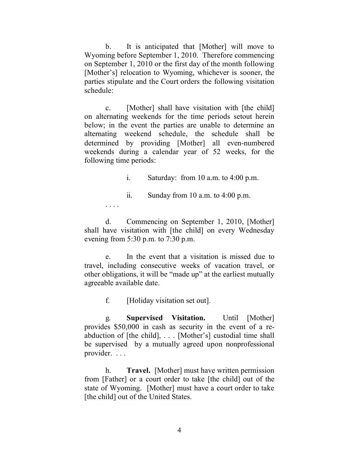b. It is anticipated that [Mother] will move to Wyoming before September 1, 2010. Therefore commencing on September 1, 2010 or the first day of the month following [Mother's] relocation to Wyoming, whichever is sooner, the parties stipulate and the Court orders the following visitation schedule:

c. [Mother] shall have visitation with [the child] on alternating weekends for the time periods setout herein below; in the event the parties are unable to determine an alternating weekend schedule, the schedule shall be determined by providing [Mother] all even-numbered weekends during a calendar year of 52 weeks, for the following time periods:

i. Saturday: from  $10$  a.m. to  $4:00$  p.m.

ii. Sunday from 10 a.m. to 4:00 p.m.

d. Commencing on September 1, 2010, [Mother] shall have visitation with [the child] on every Wednesday evening from 5:30 p.m. to 7:30 p.m.

e. In the event that a visitation is missed due to travel, including consecutive weeks of vacation travel, or other obligations, it will be "made up" at the earliest mutually agreeable available date.

f. [Holiday visitation set out].

. . . .

g. **Supervised Visitation.** Until [Mother] provides \$50,000 in cash as security in the event of a reabduction of [the child], . . . [Mother's] custodial time shall be supervised by a mutually agreed upon nonprofessional provider. . . .

h. **Travel.** [Mother] must have written permission from [Father] or a court order to take [the child] out of the state of Wyoming. [Mother] must have a court order to take [the child] out of the United States.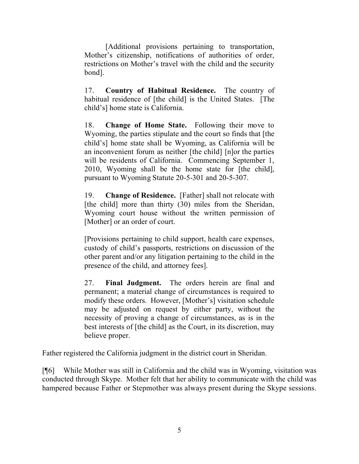[Additional provisions pertaining to transportation, Mother's citizenship, notifications of authorities of order, restrictions on Mother's travel with the child and the security bond].

17. **Country of Habitual Residence.** The country of habitual residence of [the child] is the United States. [The child's] home state is California.

18. **Change of Home State.** Following their move to Wyoming, the parties stipulate and the court so finds that [the child's] home state shall be Wyoming, as California will be an inconvenient forum as neither [the child] [n]or the parties will be residents of California. Commencing September 1, 2010, Wyoming shall be the home state for [the child], pursuant to Wyoming Statute 20-5-301 and 20-5-307.

19. **Change of Residence.** [Father] shall not relocate with [the child] more than thirty (30) miles from the Sheridan, Wyoming court house without the written permission of [Mother] or an order of court.

[Provisions pertaining to child support, health care expenses, custody of child's passports, restrictions on discussion of the other parent and/or any litigation pertaining to the child in the presence of the child, and attorney fees].

27. **Final Judgment.** The orders herein are final and permanent; a material change of circumstances is required to modify these orders. However, [Mother's] visitation schedule may be adjusted on request by either party, without the necessity of proving a change of circumstances, as is in the best interests of [the child] as the Court, in its discretion, may believe proper.

Father registered the California judgment in the district court in Sheridan.

[¶6] While Mother was still in California and the child was in Wyoming, visitation was conducted through Skype. Mother felt that her ability to communicate with the child was hampered because Father or Stepmother was always present during the Skype sessions.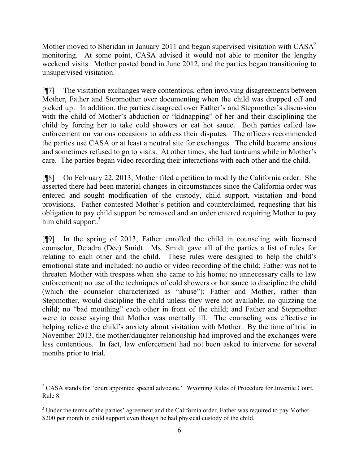Mother moved to Sheridan in January 2011 and began supervised visitation with CASA<sup>2</sup> monitoring. At some point, CASA advised it would not able to monitor the lengthy weekend visits. Mother posted bond in June 2012, and the parties began transitioning to unsupervised visitation.

[¶7] The visitation exchanges were contentious, often involving disagreements between Mother, Father and Stepmother over documenting when the child was dropped off and picked up. In addition, the parties disagreed over Father's and Stepmother's discussion with the child of Mother's abduction or "kidnapping" of her and their disciplining the child by forcing her to take cold showers or eat hot sauce. Both parties called law enforcement on various occasions to address their disputes. The officers recommended the parties use CASA or at least a neutral site for exchanges. The child became anxious and sometimes refused to go to visits. At other times, she had tantrums while in Mother's care. The parties began video recording their interactions with each other and the child.

[¶8] On February 22, 2013, Mother filed a petition to modify the California order. She asserted there had been material changes in circumstances since the California order was entered and sought modification of the custody, child support, visitation and bond provisions. Father contested Mother's petition and counterclaimed, requesting that his obligation to pay child support be removed and an order entered requiring Mother to pay him child support. $3$ 

[¶9] In the spring of 2013, Father enrolled the child in counseling with licensed counselor, Deiadra (Dee) Smidt. Ms. Smidt gave all of the parties a list of rules for relating to each other and the child. These rules were designed to help the child's emotional state and included: no audio or video recording of the child; Father was not to threaten Mother with trespass when she came to his home; no unnecessary calls to law enforcement; no use of the techniques of cold showers or hot sauce to discipline the child (which the counselor characterized as "abuse"); Father and Mother, rather than Stepmother, would discipline the child unless they were not available; no quizzing the child; no "bad mouthing" each other in front of the child; and Father and Stepmother were to cease saying that Mother was mentally ill. The counseling was effective in helping relieve the child's anxiety about visitation with Mother. By the time of trial in November 2013, the mother/daughter relationship had improved and the exchanges were less contentious. In fact, law enforcement had not been asked to intervene for several months prior to trial.

  $2^2$  CASA stands for "court appointed special advocate." Wyoming Rules of Procedure for Juvenile Court, Rule 8.

<sup>&</sup>lt;sup>3</sup> Under the terms of the parties' agreement and the California order, Father was required to pay Mother \$200 per month in child support even though he had physical custody of the child.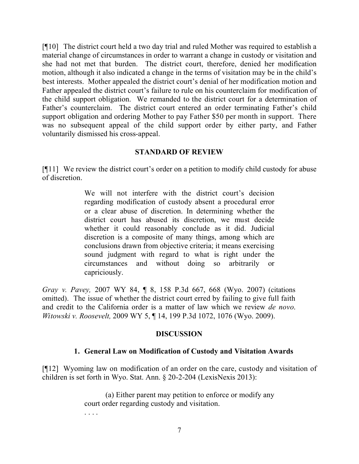[¶10] The district court held a two day trial and ruled Mother was required to establish a material change of circumstances in order to warrant a change in custody or visitation and she had not met that burden. The district court, therefore, denied her modification motion, although it also indicated a change in the terms of visitation may be in the child's best interests. Mother appealed the district court's denial of her modification motion and Father appealed the district court's failure to rule on his counterclaim for modification of the child support obligation. We remanded to the district court for a determination of Father's counterclaim. The district court entered an order terminating Father's child support obligation and ordering Mother to pay Father \$50 per month in support. There was no subsequent appeal of the child support order by either party, and Father voluntarily dismissed his cross-appeal.

# **STANDARD OF REVIEW**

[¶11] We review the district court's order on a petition to modify child custody for abuse of discretion.

> We will not interfere with the district court's decision regarding modification of custody absent a procedural error or a clear abuse of discretion. In determining whether the district court has abused its discretion, we must decide whether it could reasonably conclude as it did. Judicial discretion is a composite of many things, among which are conclusions drawn from objective criteria; it means exercising sound judgment with regard to what is right under the circumstances and without doing so arbitrarily or capriciously.

*Gray v. Pavey,* 2007 WY 84, ¶ 8, 158 P.3d 667, 668 (Wyo. 2007) (citations omitted). The issue of whether the district court erred by failing to give full faith and credit to the California order is a matter of law which we review *de novo*. *Witowski v. Roosevelt,* 2009 WY 5, ¶ 14, 199 P.3d 1072, 1076 (Wyo. 2009).

### **DISCUSSION**

# **1. General Law on Modification of Custody and Visitation Awards**

[¶12] Wyoming law on modification of an order on the care, custody and visitation of children is set forth in Wyo. Stat. Ann. § 20-2-204 (LexisNexis 2013):

> (a) Either parent may petition to enforce or modify any court order regarding custody and visitation.

> > 7

. . . .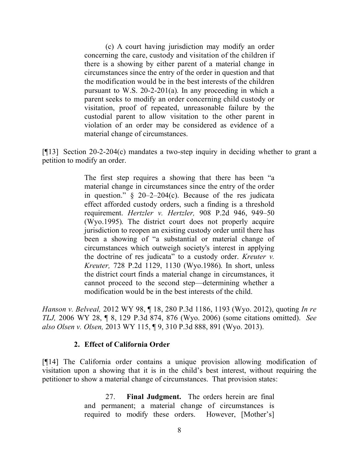(c) A court having jurisdiction may modify an order concerning the care, custody and visitation of the children if there is a showing by either parent of a material change in circumstances since the entry of the order in question and that the modification would be in the best interests of the children pursuant to W.S. 20-2-201(a). In any proceeding in which a parent seeks to modify an order concerning child custody or visitation, proof of repeated, unreasonable failure by the custodial parent to allow visitation to the other parent in violation of an order may be considered as evidence of a material change of circumstances.

[¶13] Section 20-2-204(c) mandates a two-step inquiry in deciding whether to grant a petition to modify an order.

> The first step requires a showing that there has been "a material change in circumstances since the entry of the order in question."  $\S$  20–2–204(c). Because of the res judicata effect afforded custody orders, such a finding is a threshold requirement. *Hertzler v. Hertzler,* 908 P.2d 946, 949–50 (Wyo.1995). The district court does not properly acquire jurisdiction to reopen an existing custody order until there has been a showing of "a substantial or material change of circumstances which outweigh society's interest in applying the doctrine of res judicata" to a custody order. *Kreuter v. Kreuter,* 728 P.2d 1129, 1130 (Wyo.1986). In short, unless the district court finds a material change in circumstances, it cannot proceed to the second step—determining whether a modification would be in the best interests of the child.

*Hanson v. Belveal,* 2012 WY 98, ¶ 18, 280 P.3d 1186, 1193 (Wyo. 2012), quoting *In re TLJ,* 2006 WY 28, ¶ 8, 129 P.3d 874, 876 (Wyo. 2006) (some citations omitted). *See also Olsen v. Olsen,* 2013 WY 115, ¶ 9, 310 P.3d 888, 891 (Wyo. 2013).

### **2. Effect of California Order**

[¶14] The California order contains a unique provision allowing modification of visitation upon a showing that it is in the child's best interest, without requiring the petitioner to show a material change of circumstances. That provision states:

> 27. **Final Judgment.** The orders herein are final and permanent; a material change of circumstances is required to modify these orders. However, [Mother's]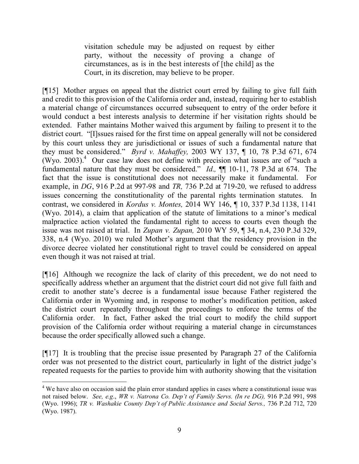visitation schedule may be adjusted on request by either party, without the necessity of proving a change of circumstances, as is in the best interests of [the child] as the Court, in its discretion, may believe to be proper.

[¶15] Mother argues on appeal that the district court erred by failing to give full faith and credit to this provision of the California order and, instead, requiring her to establish a material change of circumstances occurred subsequent to entry of the order before it would conduct a best interests analysis to determine if her visitation rights should be extended. Father maintains Mother waived this argument by failing to present it to the district court. "[I]ssues raised for the first time on appeal generally will not be considered by this court unless they are jurisdictional or issues of such a fundamental nature that they must be considered." *Byrd v. Mahaffey,* 2003 WY 137, ¶ 10, 78 P.3d 671, 674  $(W$ yo. 2003).<sup>4</sup> Our case law does not define with precision what issues are of "such a fundamental nature that they must be considered." *Id.,* ¶¶ 10-11, 78 P.3d at 674. The fact that the issue is constitutional does not necessarily make it fundamental. For example, in *DG*, 916 P.2d at 997-98 and *TR,* 736 P.2d at 719-20*,* we refused to address issues concerning the constitutionality of the parental rights termination statutes. In contrast, we considered in *Kordus v. Montes,* 2014 WY 146, ¶ 10, 337 P.3d 1138, 1141 (Wyo. 2014), a claim that application of the statute of limitations to a minor's medical malpractice action violated the fundamental right to access to courts even though the issue was not raised at trial. In *Zupan v. Zupan,* 2010 WY 59, ¶ 34, n.4, 230 P.3d 329, 338, n.4 (Wyo. 2010) we ruled Mother's argument that the residency provision in the divorce decree violated her constitutional right to travel could be considered on appeal even though it was not raised at trial.

[¶16] Although we recognize the lack of clarity of this precedent, we do not need to specifically address whether an argument that the district court did not give full faith and credit to another state's decree is a fundamental issue because Father registered the California order in Wyoming and, in response to mother's modification petition, asked the district court repeatedly throughout the proceedings to enforce the terms of the California order. In fact, Father asked the trial court to modify the child support provision of the California order without requiring a material change in circumstances because the order specifically allowed such a change.

[¶17] It is troubling that the precise issue presented by Paragraph 27 of the California order was not presented to the district court, particularly in light of the district judge's repeated requests for the parties to provide him with authority showing that the visitation

<sup>&</sup>lt;sup>4</sup> We have also on occasion said the plain error standard applies in cases where a constitutional issue was not raised below. *See, e.g*., *WR v. Natrona Co. Dep't of Family Servs. (In re DG),* 916 P.2d 991, 998 (Wyo. 1996); *TR v. Washakie County Dep't of Public Assistance and Social Servs.,* 736 P.2d 712, 720 (Wyo. 1987).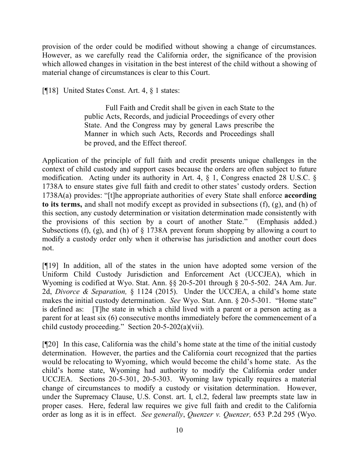provision of the order could be modified without showing a change of circumstances. However, as we carefully read the California order, the significance of the provision which allowed changes in visitation in the best interest of the child without a showing of material change of circumstances is clear to this Court.

[¶18] United States Const. Art. 4, § 1 states:

Full Faith and Credit shall be given in each State to the public Acts, Records, and judicial Proceedings of every other State. And the Congress may by general Laws prescribe the Manner in which such Acts, Records and Proceedings shall be proved, and the Effect thereof.

Application of the principle of full faith and credit presents unique challenges in the context of child custody and support cases because the orders are often subject to future modification. Acting under its authority in Art. 4, § 1, Congress enacted 28 U.S.C. § 1738A to ensure states give full faith and credit to other states' custody orders. Section 1738A(a) provides: "[t]he appropriate authorities of every State shall enforce **according to its terms,** and shall not modify except as provided in subsections (f), (g), and (h) of this section, any custody determination or visitation determination made consistently with the provisions of this section by a court of another State." (Emphasis added.) Subsections (f), (g), and (h) of § 1738A prevent forum shopping by allowing a court to modify a custody order only when it otherwise has jurisdiction and another court does not.

[¶19] In addition, all of the states in the union have adopted some version of the Uniform Child Custody Jurisdiction and Enforcement Act (UCCJEA), which in Wyoming is codified at Wyo. Stat. Ann. §§ 20-5-201 through § 20-5-502. 24A Am. Jur. 2d, *Divorce & Separation,* § 1124 (2015). Under the UCCJEA, a child's home state makes the initial custody determination. *See* Wyo. Stat. Ann. § 20-5-301. "Home state" is defined as: [T]he state in which a child lived with a parent or a person acting as a parent for at least six (6) consecutive months immediately before the commencement of a child custody proceeding." Section 20-5-202(a)(vii).

[¶20] In this case, California was the child's home state at the time of the initial custody determination. However, the parties and the California court recognized that the parties would be relocating to Wyoming, which would become the child's home state. As the child's home state, Wyoming had authority to modify the California order under UCCJEA. Sections 20-5-301, 20-5-303. Wyoming law typically requires a material change of circumstances to modify a custody or visitation determination. However, under the Supremacy Clause, U.S. Const. art. I, cl.2, federal law preempts state law in proper cases. Here, federal law requires we give full faith and credit to the California order as long as it is in effect. *See generally*, *Quenzer v. Quenzer,* 653 P.2d 295 (Wyo.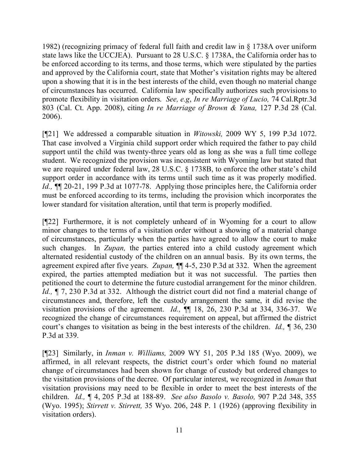1982) (recognizing primacy of federal full faith and credit law in § 1738A over uniform state laws like the UCCJEA). Pursuant to 28 U.S.C. § 1738A, the California order has to be enforced according to its terms, and those terms, which were stipulated by the parties and approved by the California court, state that Mother's visitation rights may be altered upon a showing that it is in the best interests of the child, even though no material change of circumstances has occurred. California law specifically authorizes such provisions to promote flexibility in visitation orders. *See, e.g*, *In re Marriage of Lucio,* 74 Cal.Rptr.3d 803 (Cal. Ct. App. 2008), citing *In re Marriage of Brown & Yana,* 127 P.3d 28 (Cal. 2006).

[¶21] We addressed a comparable situation in *Witowski,* 2009 WY 5, 199 P.3d 1072. That case involved a Virginia child support order which required the father to pay child support until the child was twenty-three years old as long as she was a full time college student. We recognized the provision was inconsistent with Wyoming law but stated that we are required under federal law, 28 U.S.C. § 1738B, to enforce the other state's child support order in accordance with its terms until such time as it was properly modified. *Id.,* ¶¶ 20-21, 199 P.3d at 1077-78. Applying those principles here, the California order must be enforced according to its terms, including the provision which incorporates the lower standard for visitation alteration, until that term is properly modified.

[¶22] Furthermore, it is not completely unheard of in Wyoming for a court to allow minor changes to the terms of a visitation order without a showing of a material change of circumstances, particularly when the parties have agreed to allow the court to make such changes. In *Zupan,* the parties entered into a child custody agreement which alternated residential custody of the children on an annual basis. By its own terms, the agreement expired after five years. *Zupan,* ¶¶ 4-5, 230 P.3d at 332. When the agreement expired, the parties attempted mediation but it was not successful. The parties then petitioned the court to determine the future custodial arrangement for the minor children. *Id.,* ¶ 7, 230 P.3d at 332. Although the district court did not find a material change of circumstances and, therefore, left the custody arrangement the same, it did revise the visitation provisions of the agreement. *Id.,* ¶¶ 18, 26, 230 P.3d at 334, 336-37. We recognized the change of circumstances requirement on appeal, but affirmed the district court's changes to visitation as being in the best interests of the children. *Id.,* ¶ 36, 230 P.3d at 339.

[¶23] Similarly, in *Inman v. Williams,* 2009 WY 51, 205 P.3d 185 (Wyo. 2009), we affirmed, in all relevant respects, the district court's order which found no material change of circumstances had been shown for change of custody but ordered changes to the visitation provisions of the decree. Of particular interest, we recognized in *Inman* that visitation provisions may need to be flexible in order to meet the best interests of the children. *Id.,* ¶ 4, 205 P.3d at 188-89. *See also Basolo v. Basolo,* 907 P.2d 348, 355 (Wyo. 1995); *Stirrett v. Stirrett,* 35 Wyo. 206, 248 P. 1 (1926) (approving flexibility in visitation orders).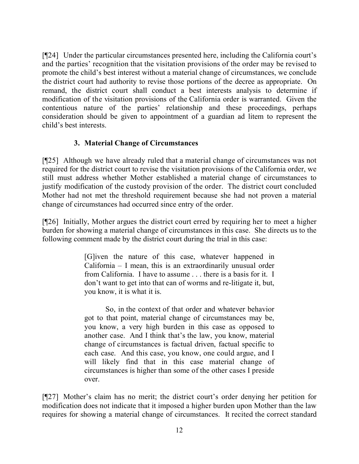[¶24] Under the particular circumstances presented here, including the California court's and the parties' recognition that the visitation provisions of the order may be revised to promote the child's best interest without a material change of circumstances, we conclude the district court had authority to revise those portions of the decree as appropriate. On remand, the district court shall conduct a best interests analysis to determine if modification of the visitation provisions of the California order is warranted. Given the contentious nature of the parties' relationship and these proceedings, perhaps consideration should be given to appointment of a guardian ad litem to represent the child's best interests.

# **3. Material Change of Circumstances**

[¶25] Although we have already ruled that a material change of circumstances was not required for the district court to revise the visitation provisions of the California order, we still must address whether Mother established a material change of circumstances to justify modification of the custody provision of the order. The district court concluded Mother had not met the threshold requirement because she had not proven a material change of circumstances had occurred since entry of the order.

[¶26] Initially, Mother argues the district court erred by requiring her to meet a higher burden for showing a material change of circumstances in this case. She directs us to the following comment made by the district court during the trial in this case:

> [G]iven the nature of this case, whatever happened in California – I mean, this is an extraordinarily unusual order from California. I have to assume . . . there is a basis for it. I don't want to get into that can of worms and re-litigate it, but, you know, it is what it is.

> So, in the context of that order and whatever behavior got to that point, material change of circumstances may be, you know, a very high burden in this case as opposed to another case. And I think that's the law, you know, material change of circumstances is factual driven, factual specific to each case. And this case, you know, one could argue, and I will likely find that in this case material change of circumstances is higher than some of the other cases I preside over.

[¶27] Mother's claim has no merit; the district court's order denying her petition for modification does not indicate that it imposed a higher burden upon Mother than the law requires for showing a material change of circumstances. It recited the correct standard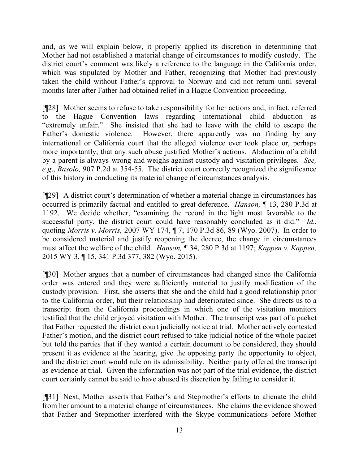and, as we will explain below, it properly applied its discretion in determining that Mother had not established a material change of circumstances to modify custody. The district court's comment was likely a reference to the language in the California order, which was stipulated by Mother and Father, recognizing that Mother had previously taken the child without Father's approval to Norway and did not return until several months later after Father had obtained relief in a Hague Convention proceeding.

[¶28] Mother seems to refuse to take responsibility for her actions and, in fact, referred to the Hague Convention laws regarding international child abduction as "extremely unfair." She insisted that she had to leave with the child to escape the Father's domestic violence. However, there apparently was no finding by any international or California court that the alleged violence ever took place or, perhaps more importantly, that any such abuse justified Mother's actions. Abduction of a child by a parent is always wrong and weighs against custody and visitation privileges. *See, e.g*., *Basolo,* 907 P.2d at 354-55. The district court correctly recognized the significance of this history in conducting its material change of circumstances analysis.

[¶29] A district court's determination of whether a material change in circumstances has occurred is primarily factual and entitled to great deference. *Hanson,* ¶ 13, 280 P.3d at 1192. We decide whether, "examining the record in the light most favorable to the successful party, the district court could have reasonably concluded as it did." *Id.*, quoting *Morris v. Morris,* 2007 WY 174, ¶ 7, 170 P.3d 86, 89 (Wyo. 2007). In order to be considered material and justify reopening the decree, the change in circumstances must affect the welfare of the child. *Hanson,* ¶ 34, 280 P.3d at 1197; *Kappen v. Kappen,*  2015 WY 3, ¶ 15, 341 P.3d 377, 382 (Wyo. 2015).

[¶30] Mother argues that a number of circumstances had changed since the California order was entered and they were sufficiently material to justify modification of the custody provision. First, she asserts that she and the child had a good relationship prior to the California order, but their relationship had deteriorated since. She directs us to a transcript from the California proceedings in which one of the visitation monitors testified that the child enjoyed visitation with Mother. The transcript was part of a packet that Father requested the district court judicially notice at trial. Mother actively contested Father's motion, and the district court refused to take judicial notice of the whole packet but told the parties that if they wanted a certain document to be considered, they should present it as evidence at the hearing, give the opposing party the opportunity to object, and the district court would rule on its admissibility. Neither party offered the transcript as evidence at trial. Given the information was not part of the trial evidence, the district court certainly cannot be said to have abused its discretion by failing to consider it.

[¶31] Next, Mother asserts that Father's and Stepmother's efforts to alienate the child from her amount to a material change of circumstances. She claims the evidence showed that Father and Stepmother interfered with the Skype communications before Mother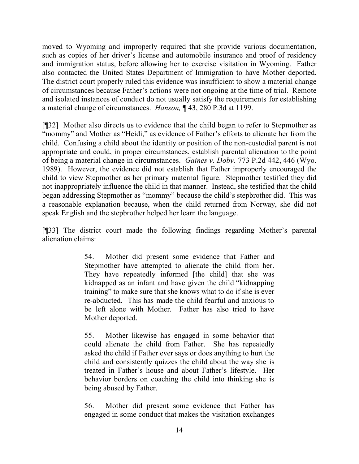moved to Wyoming and improperly required that she provide various documentation, such as copies of her driver's license and automobile insurance and proof of residency and immigration status, before allowing her to exercise visitation in Wyoming. Father also contacted the United States Department of Immigration to have Mother deported. The district court properly ruled this evidence was insufficient to show a material change of circumstances because Father's actions were not ongoing at the time of trial. Remote and isolated instances of conduct do not usually satisfy the requirements for establishing a material change of circumstances. *Hanson,* ¶ 43, 280 P.3d at 1199.

[¶32] Mother also directs us to evidence that the child began to refer to Stepmother as "mommy" and Mother as "Heidi," as evidence of Father's efforts to alienate her from the child. Confusing a child about the identity or position of the non-custodial parent is not appropriate and could, in proper circumstances, establish parental alienation to the point of being a material change in circumstances. *Gaines v. Doby,* 773 P.2d 442, 446 (Wyo. 1989). However, the evidence did not establish that Father improperly encouraged the child to view Stepmother as her primary maternal figure. Stepmother testified they did not inappropriately influence the child in that manner. Instead, she testified that the child began addressing Stepmother as "mommy" because the child's stepbrother did. This was a reasonable explanation because, when the child returned from Norway, she did not speak English and the stepbrother helped her learn the language.

[¶33] The district court made the following findings regarding Mother's parental alienation claims:

> 54. Mother did present some evidence that Father and Stepmother have attempted to alienate the child from her. They have repeatedly informed [the child] that she was kidnapped as an infant and have given the child "kidnapping training" to make sure that she knows what to do if she is ever re-abducted. This has made the child fearful and anxious to be left alone with Mother. Father has also tried to have Mother deported.

> 55. Mother likewise has engaged in some behavior that could alienate the child from Father. She has repeatedly asked the child if Father ever says or does anything to hurt the child and consistently quizzes the child about the way she is treated in Father's house and about Father's lifestyle. Her behavior borders on coaching the child into thinking she is being abused by Father.

> 56. Mother did present some evidence that Father has engaged in some conduct that makes the visitation exchanges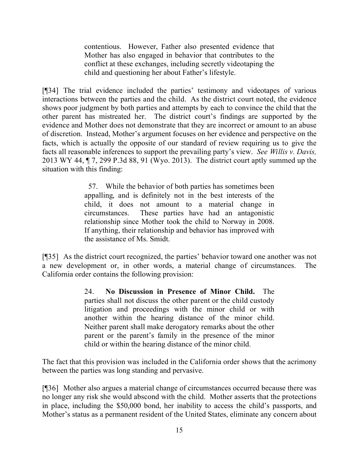contentious. However, Father also presented evidence that Mother has also engaged in behavior that contributes to the conflict at these exchanges, including secretly videotaping the child and questioning her about Father's lifestyle.

[¶34] The trial evidence included the parties' testimony and videotapes of various interactions between the parties and the child. As the district court noted, the evidence shows poor judgment by both parties and attempts by each to convince the child that the other parent has mistreated her. The district court's findings are supported by the evidence and Mother does not demonstrate that they are incorrect or amount to an abuse of discretion. Instead, Mother's argument focuses on her evidence and perspective on the facts, which is actually the opposite of our standard of review requiring us to give the facts all reasonable inferences to support the prevailing party's view. *See Willis v. Davis,*  2013 WY 44, ¶ 7, 299 P.3d 88, 91 (Wyo. 2013). The district court aptly summed up the situation with this finding:

> 57. While the behavior of both parties has sometimes been appalling, and is definitely not in the best interests of the child, it does not amount to a material change in circumstances. These parties have had an antagonistic relationship since Mother took the child to Norway in 2008. If anything, their relationship and behavior has improved with the assistance of Ms. Smidt.

[¶35] As the district court recognized, the parties' behavior toward one another was not a new development or, in other words, a material change of circumstances. The California order contains the following provision:

> 24. **No Discussion in Presence of Minor Child.** The parties shall not discuss the other parent or the child custody litigation and proceedings with the minor child or with another within the hearing distance of the minor child. Neither parent shall make derogatory remarks about the other parent or the parent's family in the presence of the minor child or within the hearing distance of the minor child.

The fact that this provision was included in the California order shows that the acrimony between the parties was long standing and pervasive.

[¶36] Mother also argues a material change of circumstances occurred because there was no longer any risk she would abscond with the child. Mother asserts that the protections in place, including the \$50,000 bond, her inability to access the child's passports, and Mother's status as a permanent resident of the United States, eliminate any concern about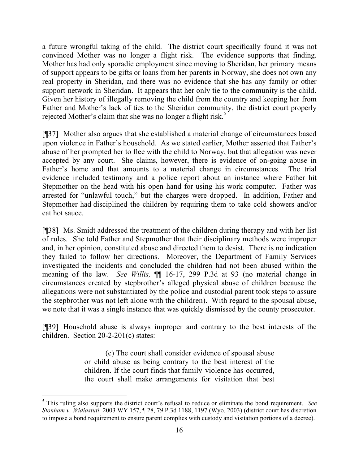a future wrongful taking of the child. The district court specifically found it was not convinced Mother was no longer a flight risk. The evidence supports that finding. Mother has had only sporadic employment since moving to Sheridan, her primary means of support appears to be gifts or loans from her parents in Norway, she does not own any real property in Sheridan, and there was no evidence that she has any family or other support network in Sheridan. It appears that her only tie to the community is the child. Given her history of illegally removing the child from the country and keeping her from Father and Mother's lack of ties to the Sheridan community, the district court properly rejected Mother's claim that she was no longer a flight risk.<sup>5</sup>

[¶37] Mother also argues that she established a material change of circumstances based upon violence in Father's household. As we stated earlier, Mother asserted that Father's abuse of her prompted her to flee with the child to Norway, but that allegation was never accepted by any court. She claims, however, there is evidence of on-going abuse in Father's home and that amounts to a material change in circumstances. The trial evidence included testimony and a police report about an instance where Father hit Stepmother on the head with his open hand for using his work computer. Father was arrested for "unlawful touch," but the charges were dropped. In addition, Father and Stepmother had disciplined the children by requiring them to take cold showers and/or eat hot sauce.

[¶38] Ms. Smidt addressed the treatment of the children during therapy and with her list of rules. She told Father and Stepmother that their disciplinary methods were improper and, in her opinion, constituted abuse and directed them to desist. There is no indication they failed to follow her directions. Moreover, the Department of Family Services investigated the incidents and concluded the children had not been abused within the meaning of the law. *See Willis,* ¶¶ 16-17, 299 P.3d at 93 (no material change in circumstances created by stepbrother's alleged physical abuse of children because the allegations were not substantiated by the police and custodial parent took steps to assure the stepbrother was not left alone with the children). With regard to the spousal abuse, we note that it was a single instance that was quickly dismissed by the county prosecutor.

[¶39] Household abuse is always improper and contrary to the best interests of the children. Section 20-2-201(c) states:

> (c) The court shall consider evidence of spousal abuse or child abuse as being contrary to the best interest of the children. If the court finds that family violence has occurred, the court shall make arrangements for visitation that best

<sup>5</sup> This ruling also supports the district court's refusal to reduce or eliminate the bond requirement. *See Stonham v. Widiastuti,* 2003 WY 157, ¶ 28, 79 P.3d 1188, 1197 (Wyo. 2003) (district court has discretion to impose a bond requirement to ensure parent complies with custody and visitation portions of a decree).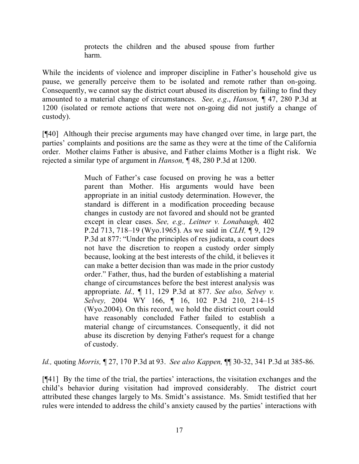protects the children and the abused spouse from further harm.

While the incidents of violence and improper discipline in Father's household give us pause, we generally perceive them to be isolated and remote rather than on-going. Consequently, we cannot say the district court abused its discretion by failing to find they amounted to a material change of circumstances. *See, e.g*., *Hanson,* ¶ 47, 280 P.3d at 1200 (isolated or remote actions that were not on-going did not justify a change of custody).

[¶40] Although their precise arguments may have changed over time, in large part, the parties' complaints and positions are the same as they were at the time of the California order. Mother claims Father is abusive, and Father claims Mother is a flight risk. We rejected a similar type of argument in *Hanson,* ¶ 48, 280 P.3d at 1200.

> Much of Father's case focused on proving he was a better parent than Mother. His arguments would have been appropriate in an initial custody determination. However, the standard is different in a modification proceeding because changes in custody are not favored and should not be granted except in clear cases. *See, e.g., Leitner v. Lonabaugh,* 402 P.2d 713, 718–19 (Wyo.1965). As we said in *CLH,* ¶ 9, 129 P.3d at 877: "Under the principles of res judicata, a court does not have the discretion to reopen a custody order simply because, looking at the best interests of the child, it believes it can make a better decision than was made in the prior custody order." Father, thus, had the burden of establishing a material change of circumstances before the best interest analysis was appropriate. *Id.,* ¶ 11, 129 P.3d at 877. *See also, Selvey v. Selvey,* 2004 WY 166, ¶ 16, 102 P.3d 210, 214–15 (Wyo.2004). On this record, we hold the district court could have reasonably concluded Father failed to establish a material change of circumstances. Consequently, it did not abuse its discretion by denying Father's request for a change of custody.

*Id.,* quoting *Morris,* ¶ 27, 170 P.3d at 93. *See also Kappen,* ¶¶ 30-32, 341 P.3d at 385-86.

[¶41] By the time of the trial, the parties' interactions, the visitation exchanges and the child's behavior during visitation had improved considerably. The district court attributed these changes largely to Ms. Smidt's assistance. Ms. Smidt testified that her rules were intended to address the child's anxiety caused by the parties' interactions with